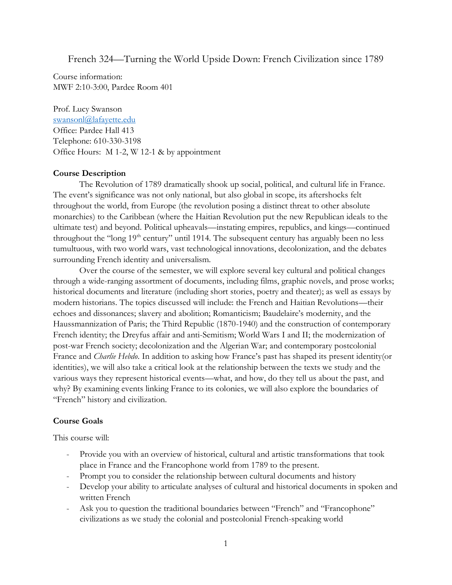French 324—Turning the World Upside Down: French Civilization since 1789

Course information: MWF 2:10-3:00, Pardee Room 401

Prof. Lucy Swanson [swansonl@lafayette.edu](mailto:swansonl@lafayette.edu) Office: Pardee Hall 413 Telephone: 610-330-3198 Office Hours: M 1-2, W 12-1 & by appointment

#### **Course Description**

The Revolution of 1789 dramatically shook up social, political, and cultural life in France. The event's significance was not only national, but also global in scope, its aftershocks felt throughout the world, from Europe (the revolution posing a distinct threat to other absolute monarchies) to the Caribbean (where the Haitian Revolution put the new Republican ideals to the ultimate test) and beyond. Political upheavals—instating empires, republics, and kings—continued throughout the "long 19<sup>th</sup> century" until 1914. The subsequent century has arguably been no less tumultuous, with two world wars, vast technological innovations, decolonization, and the debates surrounding French identity and universalism.

Over the course of the semester, we will explore several key cultural and political changes through a wide-ranging assortment of documents, including films, graphic novels, and prose works; historical documents and literature (including short stories, poetry and theater); as well as essays by modern historians. The topics discussed will include: the French and Haitian Revolutions—their echoes and dissonances; slavery and abolition; Romanticism; Baudelaire's modernity, and the Haussmannization of Paris; the Third Republic (1870-1940) and the construction of contemporary French identity; the Dreyfus affair and anti-Semitism; World Wars I and II; the modernization of post-war French society; decolonization and the Algerian War; and contemporary postcolonial France and *Charlie Hebdo*. In addition to asking how France's past has shaped its present identity(or identities), we will also take a critical look at the relationship between the texts we study and the various ways they represent historical events—what, and how, do they tell us about the past, and why? By examining events linking France to its colonies, we will also explore the boundaries of "French" history and civilization.

#### **Course Goals**

This course will:

- Provide you with an overview of historical, cultural and artistic transformations that took place in France and the Francophone world from 1789 to the present.
- Prompt you to consider the relationship between cultural documents and history
- Develop your ability to articulate analyses of cultural and historical documents in spoken and written French
- Ask you to question the traditional boundaries between "French" and "Francophone" civilizations as we study the colonial and postcolonial French-speaking world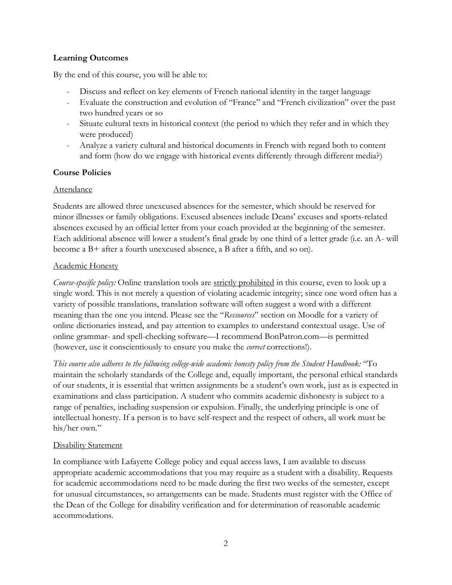## **Learning Outcomes**

By the end of this course, you will be able to:

- Discuss and reflect on key elements of French national identity in the target language
- Evaluate the construction and evolution of "France" and "French civilization" over the past two hundred years or so
- Situate cultural texts in historical context (the period to which they refer and in which they were produced)
- Analyze a variety cultural and historical documents in French with regard both to content and form (how do we engage with historical events differently through different media?)

## **Course Policies**

## Attendance

Students are allowed three unexcused absences for the semester, which should be reserved for minor illnesses or family obligations. Excused absences include Deans' excuses and sports-related absences excused by an official letter from your coach provided at the beginning of the semester. Each additional absence will lower a student's final grade by one third of a letter grade (i.e. an A- will become a B+ after a fourth unexcused absence, a B after a fifth, and so on).

## Academic Honesty

*Course-specific policy:* Online translation tools are strictly prohibited in this course, even to look up a single word. This is not merely a question of violating academic integrity; since one word often has a variety of possible translations, translation software will often suggest a word with a different meaning than the one you intend. Please see the "*Ressources*" section on Moodle for a variety of online dictionaries instead, and pay attention to examples to understand contextual usage. Use of online grammar- and spell-checking software—I recommend BonPatron.com—is permitted (however, use it conscientiously to ensure you make the *correct* corrections!).

*This course also adheres to the following college-wide academic honesty policy from the Student Handbook:* "To maintain the scholarly standards of the College and, equally important, the personal ethical standards of our students, it is essential that written assignments be a student's own work, just as is expected in examinations and class participation. A student who commits academic dishonesty is subject to a range of penalties, including suspension or expulsion. Finally, the underlying principle is one of intellectual honesty. If a person is to have self-respect and the respect of others, all work must be his/her own."

### Disability Statement

In compliance with Lafayette College policy and equal access laws, I am available to discuss appropriate academic accommodations that you may require as a student with a disability. Requests for academic accommodations need to be made during the first two weeks of the semester, except for unusual circumstances, so arrangements can be made. Students must register with the Office of the Dean of the College for disability verification and for determination of reasonable academic accommodations.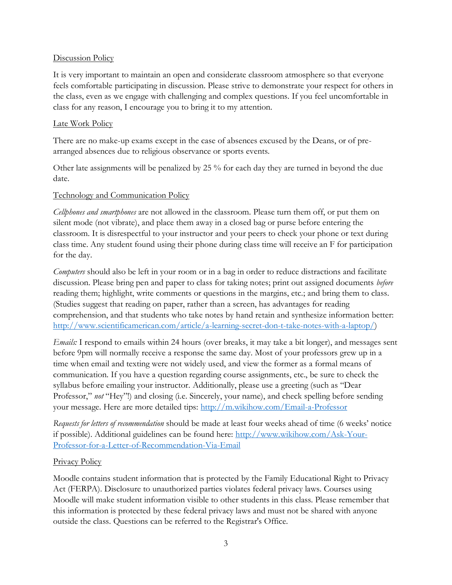### Discussion Policy

It is very important to maintain an open and considerate classroom atmosphere so that everyone feels comfortable participating in discussion. Please strive to demonstrate your respect for others in the class, even as we engage with challenging and complex questions. If you feel uncomfortable in class for any reason, I encourage you to bring it to my attention.

#### Late Work Policy

There are no make-up exams except in the case of absences excused by the Deans, or of prearranged absences due to religious observance or sports events.

Other late assignments will be penalized by 25 % for each day they are turned in beyond the due date.

### Technology and Communication Policy

*Cellphones and smartphones* are not allowed in the classroom. Please turn them off, or put them on silent mode (not vibrate), and place them away in a closed bag or purse before entering the classroom. It is disrespectful to your instructor and your peers to check your phone or text during class time. Any student found using their phone during class time will receive an F for participation for the day.

*Computers* should also be left in your room or in a bag in order to reduce distractions and facilitate discussion. Please bring pen and paper to class for taking notes; print out assigned documents *before*  reading them; highlight, write comments or questions in the margins, etc.; and bring them to class. (Studies suggest that reading on paper, rather than a screen, has advantages for reading comprehension, and that students who take notes by hand retain and synthesize information better: [http://www.scientificamerican.com/article/a-learning-secret-don-t-take-notes-with-a-laptop/\)](http://www.scientificamerican.com/article/a-learning-secret-don-t-take-notes-with-a-laptop/)

*Emails:* I respond to emails within 24 hours (over breaks, it may take a bit longer), and messages sent before 9pm will normally receive a response the same day. Most of your professors grew up in a time when email and texting were not widely used, and view the former as a formal means of communication. If you have a question regarding course assignments, etc., be sure to check the syllabus before emailing your instructor. Additionally, please use a greeting (such as "Dear Professor," *not* "Hey"!) and closing (i.e. Sincerely, your name), and check spelling before sending your message. Here are more detailed tips:<http://m.wikihow.com/Email-a-Professor>

*Requests for letters of recommendation* should be made at least four weeks ahead of time (6 weeks' notice if possible). Additional guidelines can be found here: [http://www.wikihow.com/Ask-Your-](http://www.wikihow.com/Ask-Your-Professor-for-a-Letter-of-Recommendation-Via-Email)[Professor-for-a-Letter-of-Recommendation-Via-Email](http://www.wikihow.com/Ask-Your-Professor-for-a-Letter-of-Recommendation-Via-Email)

### Privacy Policy

Moodle contains student information that is protected by the Family Educational Right to Privacy Act (FERPA). Disclosure to unauthorized parties violates federal privacy laws. Courses using Moodle will make student information visible to other students in this class. Please remember that this information is protected by these federal privacy laws and must not be shared with anyone outside the class. Questions can be referred to the Registrar's Office.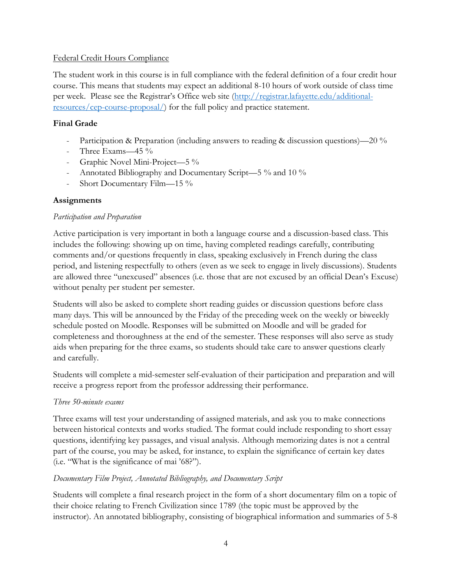## Federal Credit Hours Compliance

The student work in this course is in full compliance with the federal definition of a four credit hour course. This means that students may expect an additional 8-10 hours of work outside of class time per week. Please see the Registrar's Office web site ([http://registrar.lafayette.edu/additional](http://registrar.lafayette.edu/additional-resources/cep-course-proposal/)[resources/cep-course-proposal/\)](http://registrar.lafayette.edu/additional-resources/cep-course-proposal/) for the full policy and practice statement.

## **Final Grade**

- Participation & Preparation (including answers to reading & discussion questions)—20 %
- Three Exams—45 %
- Graphic Novel Mini-Project—5 %
- Annotated Bibliography and Documentary Script—5 % and 10 %
- Short Documentary Film—15 %

## **Assignments**

### *Participation and Preparation*

Active participation is very important in both a language course and a discussion-based class. This includes the following: showing up on time, having completed readings carefully, contributing comments and/or questions frequently in class, speaking exclusively in French during the class period, and listening respectfully to others (even as we seek to engage in lively discussions). Students are allowed three "unexcused" absences (i.e. those that are not excused by an official Dean's Excuse) without penalty per student per semester.

Students will also be asked to complete short reading guides or discussion questions before class many days. This will be announced by the Friday of the preceding week on the weekly or biweekly schedule posted on Moodle. Responses will be submitted on Moodle and will be graded for completeness and thoroughness at the end of the semester. These responses will also serve as study aids when preparing for the three exams, so students should take care to answer questions clearly and carefully.

Students will complete a mid-semester self-evaluation of their participation and preparation and will receive a progress report from the professor addressing their performance.

### *Three 50-minute exams*

Three exams will test your understanding of assigned materials, and ask you to make connections between historical contexts and works studied. The format could include responding to short essay questions, identifying key passages, and visual analysis. Although memorizing dates is not a central part of the course, you may be asked, for instance, to explain the significance of certain key dates (i.e. "What is the significance of mai '68?").

# *Documentary Film Project, Annotated Bibliography, and Documentary Script*

Students will complete a final research project in the form of a short documentary film on a topic of their choice relating to French Civilization since 1789 (the topic must be approved by the instructor). An annotated bibliography, consisting of biographical information and summaries of 5-8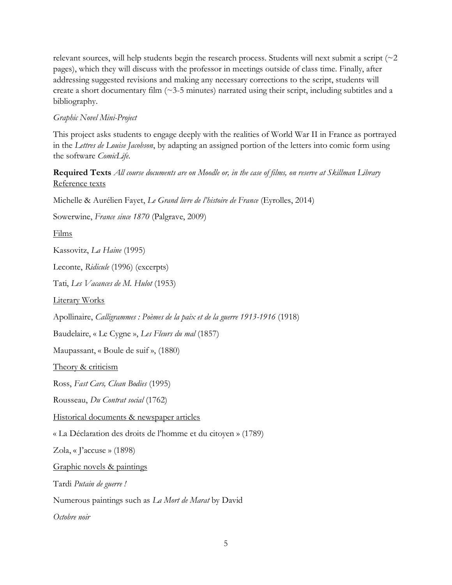relevant sources, will help students begin the research process. Students will next submit a script (~2 pages), which they will discuss with the professor in meetings outside of class time. Finally, after addressing suggested revisions and making any necessary corrections to the script, students will create a short documentary film (~3-5 minutes) narrated using their script, including subtitles and a bibliography.

## *Graphic Novel Mini-Project*

This project asks students to engage deeply with the realities of World War II in France as portrayed in the *Lettres de Louise Jacobson*, by adapting an assigned portion of the letters into comic form using the software *ComicLife*.

# **Required Texts** *All course documents are on Moodle or, in the case of films, on reserve at Skillman Library* Reference texts

Michelle & Aurélien Fayet, *Le Grand livre de l'histoire de France* (Eyrolles, 2014)

Sowerwine, *France since 1870* (Palgrave, 2009)

Films

Kassovitz, *La Haine* (1995)

Leconte, *Ridicule* (1996) (excerpts)

Tati, *Les Vacances de M. Hulot* (1953)

Literary Works

Apollinaire, *Calligrammes : Poèmes de la paix et de la guerre 1913-1916* (1918)

Baudelaire, « Le Cygne », *Les Fleurs du mal* (1857)

Maupassant, « Boule de suif », (1880)

Theory & criticism

Ross, *Fast Cars, Clean Bodies* (1995)

Rousseau, *Du Contrat social* (1762)

Historical documents & newspaper articles

« La Déclaration des droits de l'homme et du citoyen » (1789)

Zola, « J'accuse » (1898)

Graphic novels & paintings

Tardi *Putain de guerre !*

Numerous paintings such as *La Mort de Marat* by David

*Octobre noir*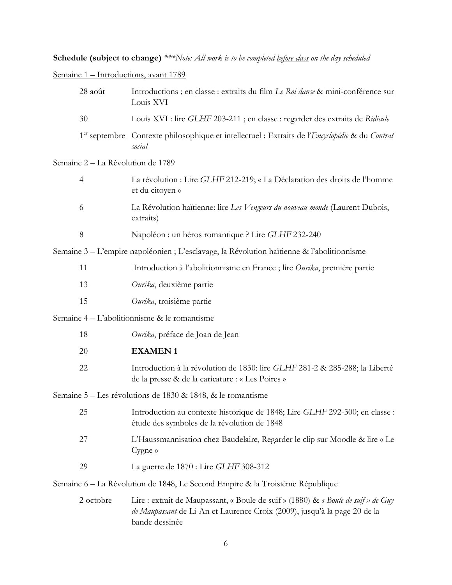**Schedule (subject to change)** *\*\*\*Note: All work is to be completed before class on the day scheduled*

Semaine 1 – Introductions, avant 1789

|                                                                                            | 28 août                           | Introductions ; en classe : extraits du film Le Roi danse & mini-conférence sur<br>Louis XVI                                                                                     |  |
|--------------------------------------------------------------------------------------------|-----------------------------------|----------------------------------------------------------------------------------------------------------------------------------------------------------------------------------|--|
|                                                                                            | 30                                | Louis XVI : lire GLHF 203-211 ; en classe : regarder des extraits de Ridicule                                                                                                    |  |
|                                                                                            |                                   | 1 <sup>er</sup> septembre Contexte philosophique et intellectuel : Extraits de l' <i>Encyclopédie</i> & du Contrat<br>social                                                     |  |
|                                                                                            | Semaine 2 - La Révolution de 1789 |                                                                                                                                                                                  |  |
|                                                                                            | $\overline{4}$                    | La révolution : Lire GLHF 212-219; « La Déclaration des droits de l'homme<br>et du citoyen »                                                                                     |  |
|                                                                                            | 6                                 | La Révolution haïtienne: lire Les Vengeurs du nouveau monde (Laurent Dubois,<br>extraits)                                                                                        |  |
|                                                                                            | $8\,$                             | Napoléon : un héros romantique ? Lire GLHF 232-240                                                                                                                               |  |
| Semaine 3 – L'empire napoléonien ; L'esclavage, la Révolution haïtienne & l'abolitionnisme |                                   |                                                                                                                                                                                  |  |
|                                                                                            | 11                                | Introduction à l'abolitionnisme en France ; lire Ourika, première partie                                                                                                         |  |
|                                                                                            | 13                                | Ourika, deuxième partie                                                                                                                                                          |  |
|                                                                                            | 15                                | Ourika, troisième partie                                                                                                                                                         |  |
|                                                                                            |                                   | Semaine 4 – L'abolitionnisme & le romantisme                                                                                                                                     |  |
|                                                                                            | 18                                | Ourika, préface de Joan de Jean                                                                                                                                                  |  |
|                                                                                            | 20                                | <b>EXAMEN1</b>                                                                                                                                                                   |  |
|                                                                                            | 22                                | Introduction à la révolution de 1830: lire GLHF 281-2 & 285-288; la Liberté<br>de la presse & de la caricature : « Les Poires »                                                  |  |
| Semaine 5 - Les révolutions de 1830 & 1848, & le romantisme                                |                                   |                                                                                                                                                                                  |  |
|                                                                                            | 25                                | Introduction au contexte historique de 1848; Lire GLHF 292-300; en classe :<br>étude des symboles de la révolution de 1848                                                       |  |
|                                                                                            | 27                                | L'Haussmannisation chez Baudelaire, Regarder le clip sur Moodle & lire « Le<br>Cygne »                                                                                           |  |
|                                                                                            | 29                                | La guerre de 1870 : Lire GLHF 308-312                                                                                                                                            |  |
|                                                                                            |                                   | Semaine 6 – La Révolution de 1848, Le Second Empire & la Troisième République                                                                                                    |  |
|                                                                                            | 2 octobre                         | Lire : extrait de Maupassant, « Boule de suif » (1880) & « Boule de suif » de Guy<br>de Maupassant de Li-An et Laurence Croix (2009), jusqu'à la page 20 de la<br>bande dessinée |  |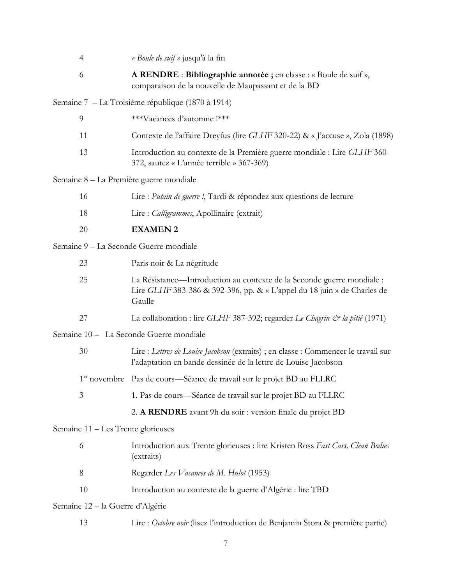|                                  | $\overline{4}$                     | « Boule de suif » jusqu'à la fin                                                                                                                            |  |  |
|----------------------------------|------------------------------------|-------------------------------------------------------------------------------------------------------------------------------------------------------------|--|--|
|                                  | 6                                  | A RENDRE : Bibliographie annotée ; en classe : « Boule de suif »,<br>comparaison de la nouvelle de Maupassant et de la BD                                   |  |  |
|                                  |                                    | Semaine 7 – La Troisième république (1870 à 1914)                                                                                                           |  |  |
|                                  | $\overline{9}$                     | ***Vacances d'automne !***                                                                                                                                  |  |  |
|                                  | 11                                 | Contexte de l'affaire Dreyfus (lire GLHF 320-22) & « J'accuse », Zola (1898)                                                                                |  |  |
|                                  | 13                                 | Introduction au contexte de la Première guerre mondiale : Lire GLHF 360-<br>372, sautez « L'année terrible » 367-369)                                       |  |  |
|                                  |                                    | Semaine 8 – La Première guerre mondiale                                                                                                                     |  |  |
|                                  | 16                                 | Lire : Putain de guerre !, Tardi & répondez aux questions de lecture                                                                                        |  |  |
|                                  | 18                                 | Lire : Calligrammes, Apollinaire (extrait)                                                                                                                  |  |  |
|                                  | 20                                 | <b>EXAMEN 2</b>                                                                                                                                             |  |  |
|                                  |                                    | Semaine 9 - La Seconde Guerre mondiale                                                                                                                      |  |  |
|                                  | 23                                 | Paris noir & La négritude                                                                                                                                   |  |  |
|                                  | 25                                 | La Résistance—Introduction au contexte de la Seconde guerre mondiale :<br>Lire GLHF 383-386 & 392-396, pp. & « L'appel du 18 juin » de Charles de<br>Gaulle |  |  |
|                                  | 27                                 | La collaboration : lire GLHF 387-392; regarder Le Chagrin & la pitié (1971)                                                                                 |  |  |
|                                  |                                    | Semaine 10 - La Seconde Guerre mondiale                                                                                                                     |  |  |
|                                  | 30                                 | Lire : Lettres de Louise Jacobson (extraits) ; en classe : Commencer le travail sur<br>l'adaptation en bande dessinée de la lettre de Louise Jacobson       |  |  |
|                                  |                                    | 1 <sup>er</sup> novembre Pas de cours—Séance de travail sur le projet BD au FLLRC                                                                           |  |  |
|                                  | 3                                  | 1. Pas de cours—Séance de travail sur le projet BD au FLLRC                                                                                                 |  |  |
|                                  |                                    | 2. A RENDRE avant 9h du soir : version finale du projet BD                                                                                                  |  |  |
|                                  | Semaine 11 - Les Trente glorieuses |                                                                                                                                                             |  |  |
|                                  | 6                                  | Introduction aux Trente glorieuses : lire Kristen Ross Fast Cars, Clean Bodies<br>(extraits)                                                                |  |  |
|                                  | 8                                  | Regarder Les Vacances de M. Hulot (1953)                                                                                                                    |  |  |
|                                  | 10                                 | Introduction au contexte de la guerre d'Algérie : lire TBD                                                                                                  |  |  |
| Semaine 12 – la Guerre d'Algérie |                                    |                                                                                                                                                             |  |  |
|                                  | 13                                 | Lire : Octobre noir (lisez l'introduction de Benjamin Stora & première partie)                                                                              |  |  |
|                                  |                                    |                                                                                                                                                             |  |  |